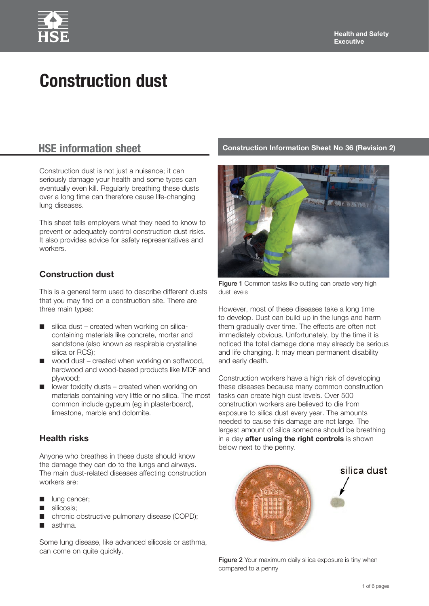# **Construction dust**

Construction dust is not just a nuisance; it can seriously damage your health and some types can eventually even kill. Regularly breathing these dusts over a long time can therefore cause life-changing lung diseases.

This sheet tells employers what they need to know to prevent or adequately control construction dust risks. It also provides advice for safety representatives and workers.

# **Construction dust**

This is a general term used to describe different dusts that you may find on a construction site. There are three main types:

- $\blacksquare$  silica dust created when working on silicacontaining materials like concrete, mortar and sandstone (also known as respirable crystalline silica or RCS);
- $\Box$  wood dust created when working on softwood, hardwood and wood-based products like MDF and plywood;
- lower toxicity dusts created when working on materials containing very little or no silica. The most common include gypsum (eg in plasterboard), limestone, marble and dolomite.

# **Health risks**

Anyone who breathes in these dusts should know the damage they can do to the lungs and airways. The main dust-related diseases affecting construction workers are:

- lung cancer;
- silicosis;
- chronic obstructive pulmonary disease (COPD);
- asthma.

Some lung disease, like advanced silicosis or asthma, can come on quite quickly.

# **HSE information sheet Construction Information Sheet No 36 (Revision 2)**



Figure 1 Common tasks like cutting can create very high dust levels

However, most of these diseases take a long time to develop. Dust can build up in the lungs and harm them gradually over time. The effects are often not immediately obvious. Unfortunately, by the time it is noticed the total damage done may already be serious and life changing. It may mean permanent disability and early death.

Construction workers have a high risk of developing these diseases because many common construction tasks can create high dust levels. Over 500 construction workers are believed to die from exposure to silica dust every year. The amounts needed to cause this damage are not large. The largest amount of silica someone should be breathing in a day **after using the right controls** is shown below next to the penny.



Figure 2 Your maximum daily silica exposure is tiny when compared to a penny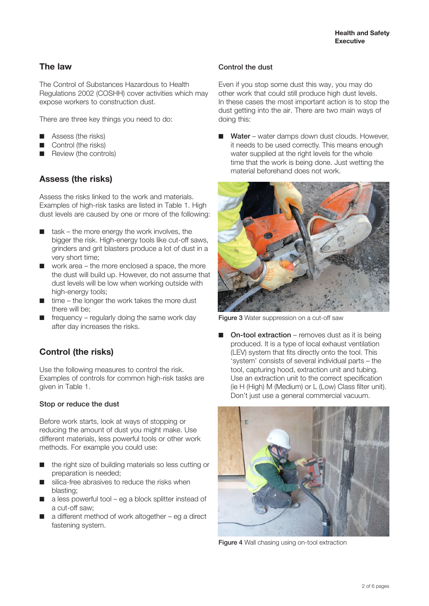# **The law**

The Control of Substances Hazardous to Health Regulations 2002 (COSHH) cover activities which may expose workers to construction dust.

There are three key things you need to do:

- Assess (the risks)
- Control (the risks)
- Review (the controls)

# **Assess (the risks)**

Assess the risks linked to the work and materials. Examples of high-risk tasks are listed in Table 1. High dust levels are caused by one or more of the following:

- task the more energy the work involves, the bigger the risk. High-energy tools like cut-off saws, grinders and grit blasters produce a lot of dust in a very short time;
- work area the more enclosed a space, the more the dust will build up. However, do not assume that dust levels will be low when working outside with high-energy tools;
- time the longer the work takes the more dust there will be;
- frequency regularly doing the same work day after day increases the risks.

# **Control (the risks)**

Use the following measures to control the risk. Examples of controls for common high-risk tasks are given in Table 1.

### Stop or reduce the dust

Before work starts, look at ways of stopping or reducing the amount of dust you might make. Use different materials, less powerful tools or other work methods. For example you could use:

- the right size of building materials so less cutting or preparation is needed;
- silica-free abrasives to reduce the risks when blasting;
- a less powerful tool eg a block splitter instead of a cut-off saw;
- a different method of work altogether  $-$  eg a direct fastening system.

#### Control the dust

Even if you stop some dust this way, you may do other work that could still produce high dust levels. In these cases the most important action is to stop the dust getting into the air. There are two main ways of doing this:

Water – water damps down dust clouds. However, it needs to be used correctly. This means enough water supplied at the right levels for the whole time that the work is being done. Just wetting the material beforehand does not work.



Figure 3 Water suppression on a cut-off saw

On-tool extraction – removes dust as it is being produced. It is a type of local exhaust ventilation (LEV) system that fits directly onto the tool. This 'system' consists of several individual parts – the tool, capturing hood, extraction unit and tubing. Use an extraction unit to the correct specification (ie H (High) M (Medium) or L (Low) Class filter unit). Don't just use a general commercial vacuum.



Figure 4 Wall chasing using on-tool extraction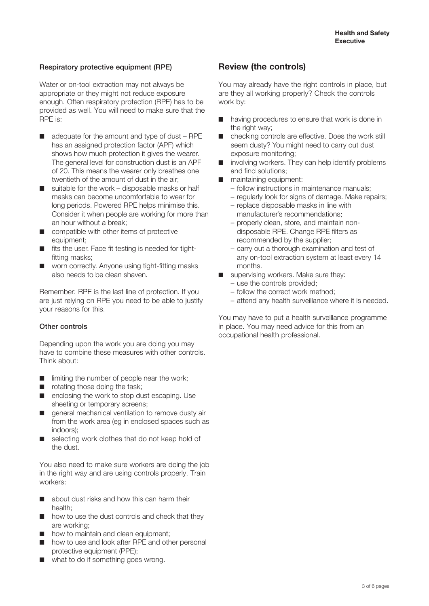### Respiratory protective equipment (RPE)

Water or on-tool extraction may not always be appropriate or they might not reduce exposure enough. Often respiratory protection (RPE) has to be provided as well. You will need to make sure that the RPE is:

- adequate for the amount and type of dust RPE has an assigned protection factor (APF) which shows how much protection it gives the wearer. The general level for construction dust is an APF of 20. This means the wearer only breathes one twentieth of the amount of dust in the air;
- suitable for the work disposable masks or half masks can become uncomfortable to wear for long periods. Powered RPE helps minimise this. Consider it when people are working for more than an hour without a break;
- compatible with other items of protective equipment;
- fits the user. Face fit testing is needed for tightfitting masks;
- worn correctly. Anyone using tight-fitting masks also needs to be clean shaven.

Remember: RPE is the last line of protection. If you are just relying on RPE you need to be able to justify your reasons for this.

### Other controls

Depending upon the work you are doing you may have to combine these measures with other controls. Think about:

- limiting the number of people near the work;
- rotating those doing the task;
- enclosing the work to stop dust escaping. Use sheeting or temporary screens;
- general mechanical ventilation to remove dusty air from the work area (eg in enclosed spaces such as indoors);
- selecting work clothes that do not keep hold of the dust.

You also need to make sure workers are doing the job in the right way and are using controls properly. Train workers:

- about dust risks and how this can harm their health;
- how to use the dust controls and check that they are working;
- how to maintain and clean equipment;
- how to use and look after RPE and other personal protective equipment (PPE);
- what to do if something goes wrong.

# **Review (the controls)**

You may already have the right controls in place, but are they all working properly? Check the controls work by:

- having procedures to ensure that work is done in the right way:
- checking controls are effective. Does the work still seem dusty? You might need to carry out dust exposure monitoring;
- involving workers. They can help identify problems and find solutions;
- maintaining equipment:
	- follow instructions in maintenance manuals;
	- regularly look for signs of damage. Make repairs;
	- replace disposable masks in line with manufacturer's recommendations;
	- properly clean, store, and maintain nondisposable RPE. Change RPE filters as recommended by the supplier;
	- carry out a thorough examination and test of any on-tool extraction system at least every 14 months.
- supervising workers. Make sure they:
	- use the controls provided;
	- follow the correct work method;
	- attend any health surveillance where it is needed.

You may have to put a health surveillance programme in place. You may need advice for this from an occupational health professional.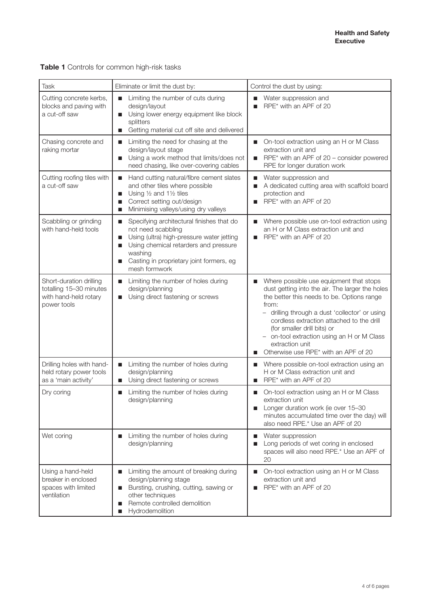| Task                                                                                       | Eliminate or limit the dust by:                                                                                                                                                                                                                           | Control the dust by using:                                                                                                                                                                                                                                                                                                                                                                                |
|--------------------------------------------------------------------------------------------|-----------------------------------------------------------------------------------------------------------------------------------------------------------------------------------------------------------------------------------------------------------|-----------------------------------------------------------------------------------------------------------------------------------------------------------------------------------------------------------------------------------------------------------------------------------------------------------------------------------------------------------------------------------------------------------|
| Cutting concrete kerbs,<br>blocks and paving with<br>a cut-off saw                         | Limiting the number of cuts during<br>п<br>design/layout<br>Using lower energy equipment like block<br>$\blacksquare$<br>splitters<br>Getting material cut off site and delivered<br>п                                                                    | Water suppression and<br>RPE* with an APF of 20                                                                                                                                                                                                                                                                                                                                                           |
| Chasing concrete and<br>raking mortar                                                      | Limiting the need for chasing at the<br>$\blacksquare$<br>design/layout stage<br>Using a work method that limits/does not<br>п<br>need chasing, like over-covering cables                                                                                 | On-tool extraction using an H or M Class<br>ш<br>extraction unit and<br>RPE* with an APF of 20 - consider powered<br>П<br>RPE for longer duration work                                                                                                                                                                                                                                                    |
| Cutting roofing tiles with<br>a cut-off saw                                                | Hand cutting natural/fibre cement slates<br>$\blacksquare$<br>and other tiles where possible<br>Using $\frac{1}{2}$ and 1 $\frac{1}{2}$ tiles<br>■<br>Correct setting out/design<br>■<br>Minimising valleys/using dry valleys<br>■                        | Water suppression and<br>$\blacksquare$<br>A dedicated cutting area with scaffold board<br>ш<br>protection and<br>RPE* with an APF of 20                                                                                                                                                                                                                                                                  |
| Scabbling or grinding<br>with hand-held tools                                              | Specifying architectural finishes that do<br>$\blacksquare$<br>not need scabbling<br>Using (ultra) high-pressure water jetting<br>ш<br>Using chemical retarders and pressure<br>П<br>washing<br>Casting in proprietary joint formers, eg<br>mesh formwork | Where possible use on-tool extraction using<br>an H or M Class extraction unit and<br>RPE* with an APF of 20<br>ш                                                                                                                                                                                                                                                                                         |
| Short-duration drilling<br>totalling 15-30 minutes<br>with hand-held rotary<br>power tools | Limiting the number of holes during<br>$\blacksquare$<br>design/planning<br>Using direct fastening or screws<br>п                                                                                                                                         | Where possible use equipment that stops<br>dust getting into the air. The larger the holes<br>the better this needs to be. Options range<br>from:<br>drilling through a dust 'collector' or using<br>cordless extraction attached to the drill<br>(for smaller drill bits) or<br>on-tool extraction using an H or M Class<br>$\qquad \qquad -$<br>extraction unit<br>Otherwise use RPE* with an APF of 20 |
| Drilling holes with hand-<br>held rotary power tools<br>as a 'main activity'               | Limiting the number of holes during<br>$\blacksquare$<br>design/planning<br>Using direct fastening or screws<br>ш                                                                                                                                         | Where possible on-tool extraction using an<br>■<br>H or M Class extraction unit and<br>RPE* with an APF of 20<br>$\blacksquare$                                                                                                                                                                                                                                                                           |
| Dry coring                                                                                 | Limiting the number of holes during<br>п<br>design/planning                                                                                                                                                                                               | On-tool extraction using an H or M Class<br>extraction unit<br>Longer duration work (ie over 15-30<br>п<br>minutes accumulated time over the day) will<br>also need RPE.* Use an APF of 20                                                                                                                                                                                                                |
| Wet coring                                                                                 | Limiting the number of holes during<br>$\blacksquare$<br>design/planning                                                                                                                                                                                  | Water suppression<br>п<br>Long periods of wet coring in enclosed<br>spaces will also need RPE.* Use an APF of<br>20                                                                                                                                                                                                                                                                                       |
| Using a hand-held<br>breaker in enclosed<br>spaces with limited<br>ventilation             | Limiting the amount of breaking during<br>$\blacksquare$<br>design/planning stage<br>Bursting, crushing, cutting, sawing or<br>■<br>other techniques<br>Remote controlled demolition<br>п<br>Hydrodemolition<br>■                                         | On-tool extraction using an H or M Class<br>$\blacksquare$<br>extraction unit and<br>RPE* with an APF of 20                                                                                                                                                                                                                                                                                               |

# **Table 1** Controls for common high-risk tasks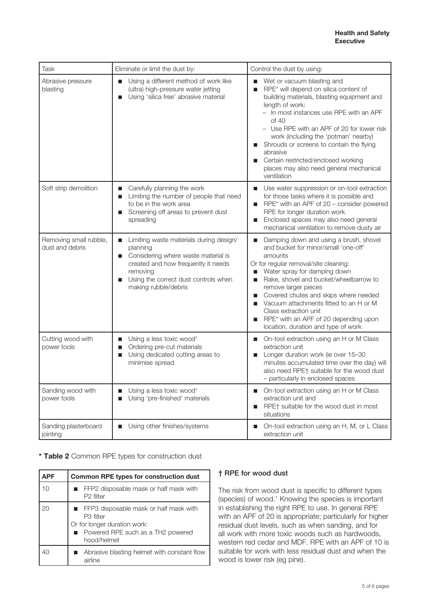| Task                                      | Eliminate or limit the dust by:                                                                                                                                                                                    | Control the dust by using:                                                                                                                                                                                                                                                                                                                                                                                                                      |
|-------------------------------------------|--------------------------------------------------------------------------------------------------------------------------------------------------------------------------------------------------------------------|-------------------------------------------------------------------------------------------------------------------------------------------------------------------------------------------------------------------------------------------------------------------------------------------------------------------------------------------------------------------------------------------------------------------------------------------------|
| Abrasive pressure<br>blasting             | Using a different method of work like<br>п<br>(ultra) high-pressure water jetting<br>Using 'silica free' abrasive material<br>п                                                                                    | Wet or vacuum blasting and<br>RPE* will depend on silica content of<br>п<br>building materials, blasting equipment and<br>length of work:<br>- In most instances use RPE with an APF<br>of 40<br>- Use RPE with an APF of 20 for lower risk<br>work (including the 'potman' nearby)<br>Shrouds or screens to contain the flying<br>abrasive<br>Certain restricted/enclosed working<br>places may also need general mechanical<br>ventilation    |
| Soft strip demolition                     | Carefully planning the work<br>$\blacksquare$<br>Limiting the number of people that need<br>п<br>to be in the work area<br>Screening off areas to prevent dust<br>п<br>spreading                                   | Use water suppression or on-tool extraction<br>for those tasks where it is possible and<br>RPE* with an APF of 20 - consider powered<br>п<br>RPE for longer duration work<br>Enclosed spaces may also need general<br>п<br>mechanical ventilation to remove dusty air                                                                                                                                                                           |
| Removing small rubble,<br>dust and debris | Limiting waste materials during design/<br>ш<br>planning<br>Considering where waste material is<br>created and how frequently it needs<br>removing<br>Using the correct dust controls when<br>making rubble/debris | Damping down and using a brush, shovel<br>п<br>and bucket for minor/small 'one-off'<br>amounts<br>Or for regular removal/site cleaning:<br>Water spray for damping down<br>Rake, shovel and bucket/wheelbarrow to<br>п<br>remove larger pieces<br>Covered chutes and skips where needed<br>ш<br>Vacuum attachments fitted to an H or M<br>Class extraction unit<br>RPE* with an APF of 20 depending upon<br>location, duration and type of work |
| Cutting wood with<br>power tools          | Using a less toxic wood <sup>1</sup><br>п<br>Ordering pre-cut materials<br>п<br>Using dedicated cutting areas to<br>П<br>minimise spread                                                                           | On-tool extraction using an H or M Class<br>ш<br>extraction unit<br>Longer duration work (ie over 15-30<br>п<br>minutes accumulated time over the day) will<br>also need RPE† suitable for the wood dust<br>- particularly in enclosed spaces                                                                                                                                                                                                   |
| Sanding wood with<br>power tools          | Using a less toxic wood <sup>1</sup><br>п<br>Using 'pre-finished' materials<br>п                                                                                                                                   | On-tool extraction using an H or M Class<br>п<br>extraction unit and<br>RPE† suitable for the wood dust in most<br>$\blacksquare$<br>situations                                                                                                                                                                                                                                                                                                 |
| Sanding plasterboard<br>jointing          | Using other finishes/systems<br>п                                                                                                                                                                                  | On-tool extraction using an H, M, or L Class<br>extraction unit                                                                                                                                                                                                                                                                                                                                                                                 |

#### **\* Table 2** Common RPE types for construction dust

| APF | <b>Common RPE types for construction dust</b>                                                                                                                |  |
|-----|--------------------------------------------------------------------------------------------------------------------------------------------------------------|--|
| 10  | FFP2 disposable mask or half mask with<br>P <sub>2</sub> filter                                                                                              |  |
| 20  | <b>FFP3</b> disposable mask or half mask with<br>P <sub>3</sub> filter<br>Or for longer duration work:<br>• Powered RPE such as a TH2 powered<br>hood/helmet |  |
|     | Abrasive blasting helmet with constant flow<br>airline                                                                                                       |  |

### † RPE for wood dust

The risk from wood dust is specific to different types (species) of wood.1 Knowing the species is important in establishing the right RPE to use. In general RPE with an APF of 20 is appropriate; particularly for higher residual dust levels, such as when sanding, and for all work with more toxic woods such as hardwoods, western red cedar and MDF. RPE with an APF of 10 is suitable for work with less residual dust and when the wood is lower risk (eg pine).